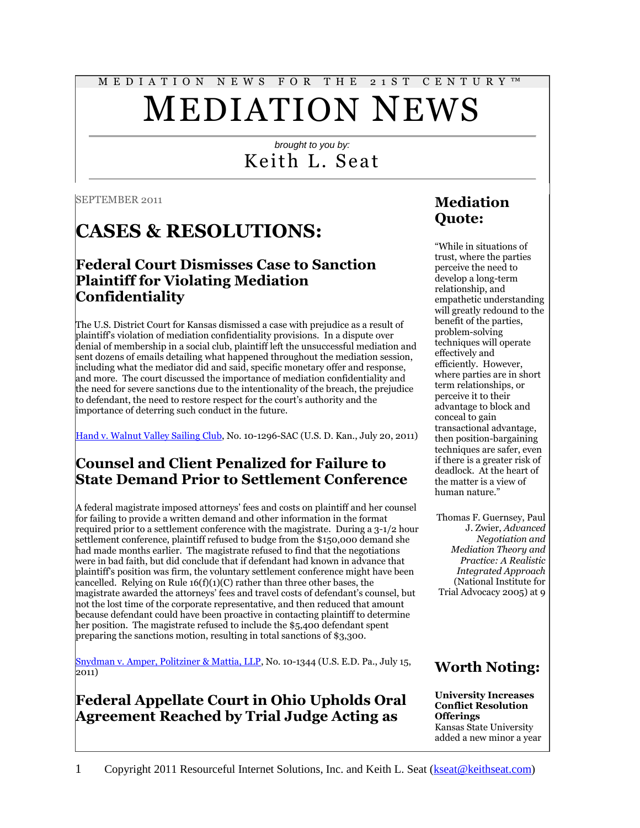# M E D I A T I O N N E W S F O R T H E 2 1 S T C E N T U R Y ™ MEDIATION NEWS

# *brought to you by:* Keith L. Seat

SEPTEMBER 2011

# **CASES & RESOLUTIONS:**

## **Federal Court Dismisses Case to Sanction Plaintiff for Violating Mediation Confidentiality**

The U.S. District Court for Kansas dismissed a case with prejudice as a result of plaintiff's violation of mediation confidentiality provisions. In a dispute over denial of membership in a social club, plaintiff left the unsuccessful mediation and sent dozens of emails detailing what happened throughout the mediation session, including what the mediator did and said, specific monetary offer and response, and more. The court discussed the importance of mediation confidentiality and the need for severe sanctions due to the intentionality of the breach, the prejudice to defendant, the need to restore respect for the court's authority and the importance of deterring such conduct in the future.

[Hand v. Walnut Valley Sailing Club,](https://ecf.ksd.uscourts.gov/cgi-bin/show_public_doc?2010cv1296-59) No. 10-1296-SAC (U.S. D. Kan., July 20, 2011)

### **Counsel and Client Penalized for Failure to State Demand Prior to Settlement Conference**

A federal magistrate imposed attorneys' fees and costs on plaintiff and her counsel for failing to provide a written demand and other information in the format required prior to a settlement conference with the magistrate. During a 3-1/2 hour settlement conference, plaintiff refused to budge from the \$150,000 demand she had made months earlier. The magistrate refused to find that the negotiations were in bad faith, but did conclude that if defendant had known in advance that plaintiff's position was firm, the voluntary settlement conference might have been cancelled. Relying on Rule  $16(f)(1)(C)$  rather than three other bases, the magistrate awarded the attorneys' fees and travel costs of defendant's counsel, but not the lost time of the corporate representative, and then reduced that amount because defendant could have been proactive in contacting plaintiff to determine her position. The magistrate refused to include the \$5,400 defendant spent preparing the sanctions motion, resulting in total sanctions of \$3,300.

[Snydman v. Amper, Politziner & Mattia, LLP,](http://scholar.google.com/scholar_case?case=6748805283016914124&hl=en&lr=lang_en&as_sdt=2,9&as_vis=1&oi=scholaralrt&ct=alrt&cd=13) No. 10-1344 (U.S. E.D. Pa., July 15, 2011)

# **Federal Appellate Court in Ohio Upholds Oral Agreement Reached by Trial Judge Acting as**

# **Mediation Quote:**

"While in situations of trust, where the parties perceive the need to develop a long-term relationship, and empathetic understanding will greatly redound to the benefit of the parties, problem-solving techniques will operate effectively and efficiently. However, where parties are in short term relationships, or perceive it to their advantage to block and conceal to gain transactional advantage, then position-bargaining techniques are safer, even if there is a greater risk of deadlock. At the heart of the matter is a view of human nature."

Thomas F. Guernsey, Paul J. Zwier, *Advanced Negotiation and Mediation Theory and Practice: A Realistic Integrated Approach* (National Institute for Trial Advocacy 2005) at 9

# **Worth Noting:**

#### **University Increases Conflict Resolution Offerings** Kansas State University added a new minor a year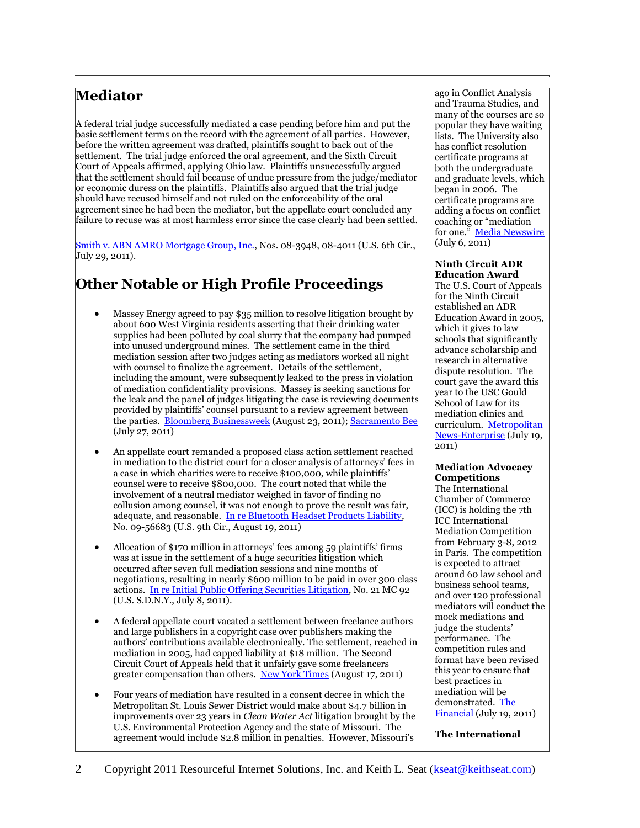# **Mediator**

A federal trial judge successfully mediated a case pending before him and put the basic settlement terms on the record with the agreement of all parties. However, before the written agreement was drafted, plaintiffs sought to back out of the settlement. The trial judge enforced the oral agreement, and the Sixth Circuit Court of Appeals affirmed, applying Ohio law. Plaintiffs unsuccessfully argued that the settlement should fail because of undue pressure from the judge/mediator or economic duress on the plaintiffs. Plaintiffs also argued that the trial judge should have recused himself and not ruled on the enforceability of the oral agreement since he had been the mediator, but the appellate court concluded any failure to recuse was at most harmless error since the case clearly had been settled.

[Smith v. ABN AMRO Mortgage Group, Inc.,](http://scholar.google.com/scholar_case?case=8563315101072959070&hl=en&lr=lang_en&as_sdt=2,9&as_vis=1&oi=scholaralrt&ct=alrt&cd=12) Nos. 08-3948, 08-4011 (U.S. 6th Cir., July 29, 2011).

# **Other Notable or High Profile Proceedings**

- Massey Energy agreed to pay \$35 million to resolve litigation brought by about 600 West Virginia residents asserting that their drinking water supplies had been polluted by coal slurry that the company had pumped into unused underground mines. The settlement came in the third mediation session after two judges acting as mediators worked all night with counsel to finalize the agreement. Details of the settlement, including the amount, were subsequently leaked to the press in violation of mediation confidentiality provisions. Massey is seeking sanctions for the leak and the panel of judges litigating the case is reviewing documents provided by plaintiffs' counsel pursuant to a review agreement between the parties. [Bloomberg Businessweek](http://www.businessweek.com/ap/financialnews/D9PAGHVG0.htm) (August 23, 2011)[; Sacramento Bee](http://www.sacbee.com/2011/07/27/3797568/ap-newsbreak-massey-settles-wv.html) (July 27, 2011)
- An appellate court remanded a proposed class action settlement reached in mediation to the district court for a closer analysis of attorneys' fees in a case in which charities were to receive \$100,000, while plaintiffs' counsel were to receive \$800,000. The court noted that while the involvement of a neutral mediator weighed in favor of finding no collusion among counsel, it was not enough to prove the result was fair, adequate, and reasonable. [In re Bluetooth Headset Products Liability,](http://scholar.google.com/scholar_case?case=13753506075358412690&hl=en&lr=lang_en&as_sdt=2,9&as_vis=1&oi=scholaralrt&ct=alrt&cd=0)  No. 09-56683 (U.S. 9th Cir., August 19, 2011)
- Allocation of \$170 million in attorneys' fees among 59 plaintiffs' firms was at issue in the settlement of a huge securities litigation which occurred after seven full mediation sessions and nine months of negotiations, resulting in nearly \$600 million to be paid in over 300 class actions. [In re Initial Public Offering Securities Litigation,](http://scholar.google.com/scholar_case?case=9016271385296760642&hl=en&lr=lang_en&as_sdt=2,9&as_vis=1&oi=scholaralrt&ct=alrt&cd=7) No. 21 MC 92 (U.S. S.D.N.Y., July 8, 2011).
- A federal appellate court vacated a settlement between freelance authors and large publishers in a copyright case over publishers making the authors' contributions available electronically. The settlement, reached in mediation in 2005, had capped liability at \$18 million. The Second Circuit Court of Appeals held that it unfairly gave some freelancers greater compensation than others. [New York Times](http://www.nytimes.com/2011/08/18/business/media/court-says-publishers-settlement-was-unfair-to-writers.html?_r=1) (August 17, 2011)
- Four years of mediation have resulted in a consent decree in which the Metropolitan St. Louis Sewer District would make about \$4.7 billion in improvements over 23 years in *Clean Water Act* litigation brought by the U.S. Environmental Protection Agency and the state of Missouri. The agreement would include \$2.8 million in penalties. However, Missouri's

ago in Conflict Analysis and Trauma Studies, and many of the courses are so popular they have waiting lists. The University also has conflict resolution certificate programs at both the undergraduate and graduate levels, which began in 2006. The certificate programs are adding a focus on conflict coaching or "mediation for one." [Media Newswire](http://media-newswire.com/release_1154924.html) (July 6, 2011)

#### **Ninth Circuit ADR Education Award**

The U.S. Court of Appeals for the Ninth Circuit established an ADR Education Award in 2005, which it gives to law schools that significantly advance scholarship and research in alternative dispute resolution. The court gave the award this year to the USC Gould School of Law for its mediation clinics and curriculum. Metropolitan [News-Enterprise](http://www.metnews.com/articles/2011/awa071911.htm) (July 19, 2011)

#### **Mediation Advocacy Competitions**

The International Chamber of Commerce (ICC) is holding the 7th ICC International Mediation Competition from February 3-8, 2012 in Paris. The competition is expected to attract around 60 law school and business school teams, and over 120 professional mediators will conduct the mock mediations and judge the students' performance. The competition rules and format have been revised this year to ensure that best practices in mediation will be demonstrated. The [Financial](http://www.finchannel.com/news_flash/CityLife/91123_7th_ICC_International_Mediation_Competition_opens_to_business_and_law_students_worldwide/) (July 19, 2011)

**The International**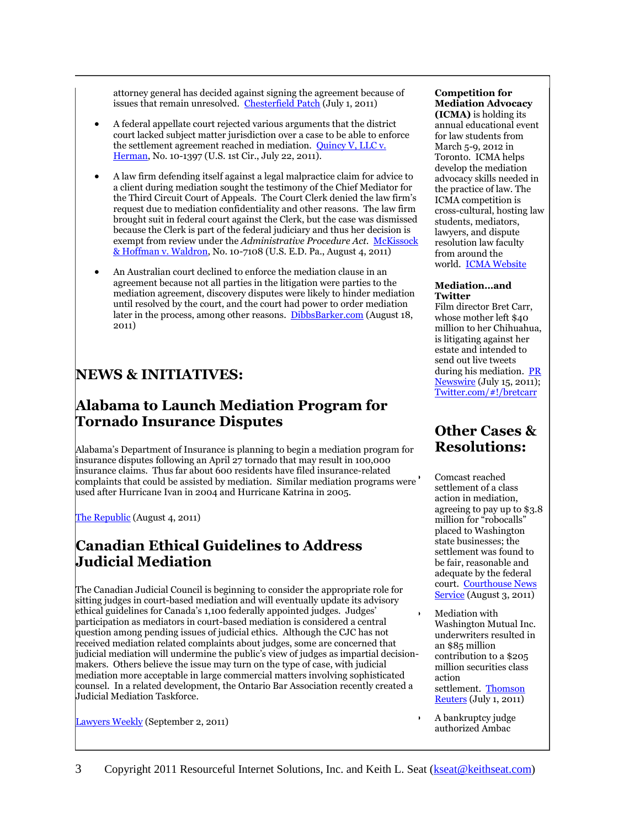attorney general has decided against signing the agreement because of issues that remain unresolved. [Chesterfield Patch](http://chesterfield.patch.com/articles/msd-oks-agreement-to-settle-2007-federal-lawsuit-2) (July 1, 2011)

- A federal appellate court rejected various arguments that the district court lacked subject matter jurisdiction over a case to be able to enforce the settlement agreement reached in mediation. Quincy V, LLC v. [Herman,](http://www.leagle.com/xmlResult.aspx?page=1&xmldoc=In%20FCO%2020110722070.xml&docbase=CSLWAR3-2007-CURR&SizeDisp=7) No. 10-1397 (U.S. 1st Cir., July 22, 2011).
- A law firm defending itself against a legal malpractice claim for advice to a client during mediation sought the testimony of the Chief Mediator for the Third Circuit Court of Appeals. The Court Clerk denied the law firm's request due to mediation confidentiality and other reasons. The law firm brought suit in federal court against the Clerk, but the case was dismissed because the Clerk is part of the federal judiciary and thus her decision is exempt from review under the *Administrative Procedure Act*. McKissock [& Hoffman v. Waldron,](http://scholar.google.com/scholar_case?case=273305150661244526&hl=en&lr=lang_en&as_sdt=2,9&as_vis=1&oi=scholaralrt&ct=alrt&cd=10) No. 10-7108 (U.S. E.D. Pa., August 4, 2011)
- An Australian court declined to enforce the mediation clause in an agreement because not all parties in the litigation were parties to the mediation agreement, discovery disputes were likely to hinder mediation until resolved by the court, and the court had power to order mediation later in the process, among other reasons. [DibbsBarker.com](http://www.dibbsbarker.com/publication/Court_Refuses_to_Uphold_Mediation_clause.aspx) (August 18, 2011)

# **NEWS & INITIATIVES:**

# **Alabama to Launch Mediation Program for Tornado Insurance Disputes**

Alabama's Department of Insurance is planning to begin a mediation program for insurance disputes following an April 27 tornado that may result in 100,000 insurance claims. Thus far about 600 residents have filed insurance-related complaints that could be assisted by mediation. Similar mediation programs were used after Hurricane Ivan in 2004 and Hurricane Katrina in 2005.

The [Republic](http://www.therepublic.com/view/story/ab23a43b4c56427e8d7d2c1e7184c39f/AL--Tuscaloosa-Tornado-Recovery/) (August 4, 2011)

### **Canadian Ethical Guidelines to Address Judicial Mediation**

The Canadian Judicial Council is beginning to consider the appropriate role for sitting judges in court-based mediation and will eventually update its advisory ethical guidelines for Canada's 1,100 federally appointed judges. Judges' participation as mediators in court-based mediation is considered a central question among pending issues of judicial ethics. Although the CJC has not received mediation related complaints about judges, some are concerned that judicial mediation will undermine the public's view of judges as impartial decisionmakers. Others believe the issue may turn on the type of case, with judicial mediation more acceptable in large commercial matters involving sophisticated counsel. In a related development, the Ontario Bar Association recently created a Judicial Mediation Taskforce.

[Lawyers Weekly](http://www.lawyersweekly.ca/index.php?section=article&volume=31&number=16&article=1) (September 2, 2011)

#### **Competition for Mediation Advocacy**

**(ICMA)** is holding its annual educational event for law students from March 5-9, 2012 in Toronto. ICMA helps develop the mediation advocacy skills needed in the practice of law. The ICMA competition is cross-cultural, hosting law students, mediators, lawyers, and dispute resolution law faculty from around the world. [ICMA Website](http://www.advinmed.com/ICMA.asp)

#### **Mediation…and Twitter**

Film director Bret Carr, whose mother left \$40 million to her Chihuahua, is litigating against her estate and intended to send out live tweets during his mediation. **PR** [Newswire](http://www.prnewswire.com/news-releases/bret-carr-battles-chihuahua-for-40-million-125651813.html) (July 15, 2011); [Twitter.com/#!/bretcarr](http://twitter.com/#!/bretcarr)

### **Other Cases & Resolutions:**

 Comcast reached settlement of a class action in mediation, agreeing to pay up to \$3.8 million for "robocalls" placed to Washington state businesses; the settlement was found to be fair, reasonable and adequate by the federal court. [Courthouse News](http://www.courthousenews.com/2011/08/03/38698.htm)  **[Service](http://www.courthousenews.com/2011/08/03/38698.htm)** (August 3, 2011)

 Mediation with Washington Mutual Inc. underwriters resulted in an \$85 million contribution to a \$205 million securities class action settlement. [Thomson](http://newsandinsight.thomsonreuters.com/Legal/News/ViewNews.aspx?id=20950&terms=%40ReutersTopicCodes+CONTAINS+%27ANV%27)  [Reuters](http://newsandinsight.thomsonreuters.com/Legal/News/ViewNews.aspx?id=20950&terms=%40ReutersTopicCodes+CONTAINS+%27ANV%27) (July 1, 2011)

 A bankruptcy judge authorized Ambac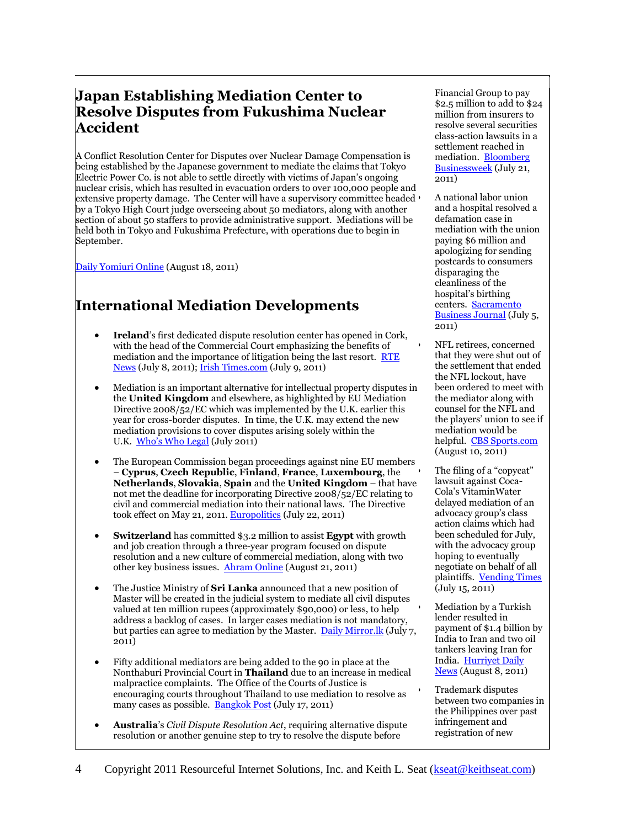### **Japan Establishing Mediation Center to Resolve Disputes from Fukushima Nuclear Accident**

A Conflict Resolution Center for Disputes over Nuclear Damage Compensation is being established by the Japanese government to mediate the claims that Tokyo Electric Power Co. is not able to settle directly with victims of Japan's ongoing nuclear crisis, which has resulted in evacuation orders to over 100,000 people and extensive property damage. The Center will have a supervisory committee headed by a Tokyo High Court judge overseeing about 50 mediators, along with another section of about 50 staffers to provide administrative support. Mediations will be held both in Tokyo and Fukushima Prefecture, with operations due to begin in September.

[Daily Yomiuri Online](http://www.yomiuri.co.jp/dy/national/T110817006519.htm) (August 18, 2011)

# **International Mediation Developments**

- **Ireland**'s first dedicated dispute resolution center has opened in Cork, with the head of the Commercial Court emphasizing the benefits of mediation and the importance of litigation being the last resort. RTE [News](http://www.rte.ie/news/2011/0708/legal_resolution.html) (July 8, 2011)[; Irish Times.com](http://www.irishtimes.com/newspaper/ireland/2011/0709/1224300390434.html) (July 9, 2011)
- Mediation is an important alternative for intellectual property disputes in the **United Kingdom** and elsewhere, as highlighted by EU Mediation Directive 2008/52/EC which was implemented by the U.K. earlier this year for cross-border disputes. In time, the U.K. may extend the new mediation provisions to cover disputes arising solely within the U.K. [Who's Who Legal](http://www.whoswholegal.com/news/features/article/29131/cost-effective-options-brand-enforcement-uk/) (July 2011)
- The European Commission began proceedings against nine EU members – **Cyprus**, **Czech Republic**, **Finland**, **France**, **Luxembourg**, the **Netherlands**, **Slovakia**, **Spain** and the **United Kingdom** – that have not met the deadline for incorporating Directive 2008/52/EC relating to civil and commercial mediation into their national laws. The Directive took effect on May 21, 2011[. Europolitics](http://www.europolitics.info/sectorial-policies/infringement-proceedings-against-nine-states-art310583-16.html) (July 22, 2011)
- **Switzerland** has committed \$3.2 million to assist **Egypt** with growth and job creation through a three-year program focused on dispute resolution and a new culture of commercial mediation, along with two other key business issues. [Ahram Online](http://english.ahram.org.eg/NewsContent/3/12/19395/Business/Economy/Switzerland-commits-m-to-help-Egypt-do-business-.aspx) (August 21, 2011)
- The Justice Ministry of **Sri Lanka** announced that a new position of Master will be created in the judicial system to mediate all civil disputes valued at ten million rupees (approximately \$90,000) or less, to help address a backlog of cases. In larger cases mediation is not mandatory, but parties can agree to mediation by the Master. Daily Mirror. Ik (July 7, 2011)
- Fifty additional mediators are being added to the 90 in place at the Nonthaburi Provincial Court in **Thailand** due to an increase in medical malpractice complaints. The Office of the Courts of Justice is encouraging courts throughout Thailand to use mediation to resolve as many cases as possible. [Bangkok Post](http://www.bangkokpost.com/news/local/247398/extra-mediators-take-on-medical-cases) (July 17, 2011)
- **Australia**'s *Civil Dispute Resolution Act*, requiring alternative dispute resolution or another genuine step to try to resolve the dispute before

Financial Group to pay \$2.5 million to add to \$24 million from insurers to resolve several securities class-action lawsuits in a settlement reached in mediation. [Bloomberg](http://www.businessweek.com/news/2011-07-21/borders-dodgers-blockbuster-jackson-hewitt-bankruptcy.html)  [Businessweek](http://www.businessweek.com/news/2011-07-21/borders-dodgers-blockbuster-jackson-hewitt-bankruptcy.html) (July 21, 2011)

 A national labor union and a hospital resolved a defamation case in mediation with the union paying \$6 million and apologizing for sending postcards to consumers disparaging the cleanliness of the hospital's birthing centers. Sacramento [Business Journal](http://www.bizjournals.com/sacramento/news/2011/07/05/labor-union-to-pay-sutter-6m-defamation.html?page=all) (July 5, 2011)

 NFL retirees, concerned that they were shut out of the settlement that ended the NFL lockout, have been ordered to meet with the mediator along with counsel for the NFL and the players' union to see if mediation would be helpful. [CBS Sports.com](http://www.cbssports.com/nfl/story/15422136/unhappy-nfl-retirees-seek-to-reopen-mediation) (August 10, 2011)

 The filing of a "copycat" lawsuit against Coca-Cola's VitaminWater delayed mediation of an advocacy group's class action claims which had been scheduled for July, with the advocacy group hoping to eventually negotiate on behalf of all plaintiffs. [Vending Times](http://www.vendingtimes.com/ME2/dirmod.asp?sid=EB79A487112B48A296B38C81345C8C7F&nm=Vending+Features&type=Publishing&mod=Publications%3A%3AArticle&mid=8F3A7027421841978F18BE895F87F791&tier=4&id=FCFB93B0C631422CA404ECD6349800A4) (July 15, 2011)

- Mediation by a Turkish lender resulted in payment of \$1.4 billion by India to Iran and two oil tankers leaving Iran for India. [Hurriyet Daily](http://www.hurriyetdailynews.com/n.php?n=tankers-sail-to-india-from-iran-after-1.4-billion-payment-2011-08-08)  [News](http://www.hurriyetdailynews.com/n.php?n=tankers-sail-to-india-from-iran-after-1.4-billion-payment-2011-08-08) (August 8, 2011)
- Trademark disputes between two companies in the Philippines over past infringement and registration of new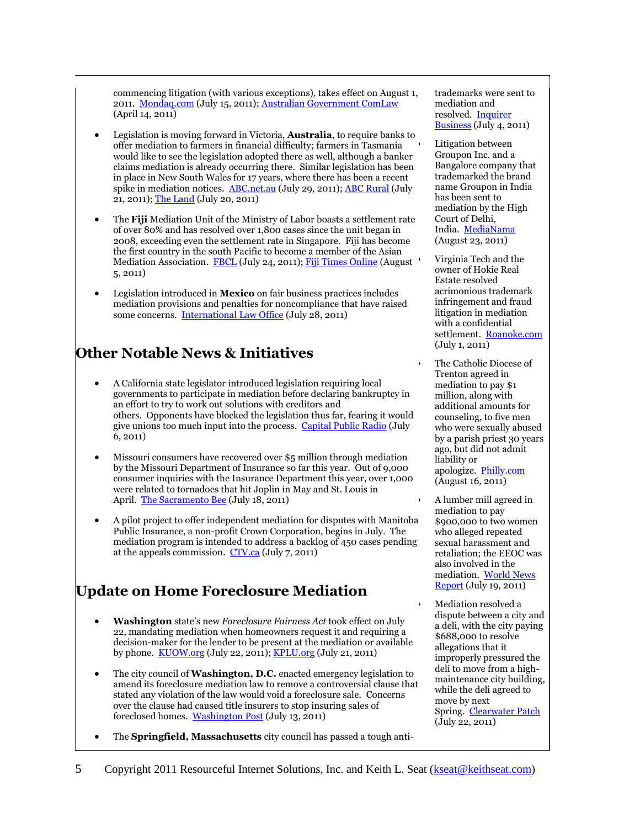commencing litigation (with various exceptions), takes effect on August 1, 2011. [Mondaq.com](http://www.mondaq.com/australia/x/139012/Commercial/Commencement+of+the+Civil+Dispute+Resolution+Act+2011+Cth+News+Alert) (July 15, 2011)[; Australian Government ComLaw](http://www.comlaw.gov.au/Details/C2011A00017) (April 14, 2011)

- Legislation is moving forward in Victoria, **Australia**, to require banks to offer mediation to farmers in financial difficulty; farmers in Tasmania would like to see the legislation adopted there as well, although a banker claims mediation is already occurring there. Similar legislation has been in place in New South Wales for 17 years, where there has been a recent spike in mediation notices. [ABC.net.au](http://www.abc.net.au/rural/telegraph/content/2011/s3281037.htm?site=newengland) (July 29, 2011); [ABC Rural](http://www.abc.net.au/rural/news/content/201107/s3274801.htm) (July 21, 2011)[; The Land](http://theland.farmonline.com.au/news/state/agribusiness-and-general/finance/debt-stalks-riverina-farmers/2232780.aspx) (July 20, 2011)
- The **Fiji** Mediation Unit of the Ministry of Labor boasts a settlement rate of over 80% and has resolved over 1,800 cases since the unit began in 2008, exceeding even the settlement rate in Singapore. Fiji has become the first country in the south Pacific to become a member of the Asian Mediation Association. [FBCL](http://www.radiofiji.com.fj/fullstory.php?id=38548) (July 24, 2011)[; Fiji Times Online](http://www.fijitimes.com/story.aspx?id=176982) (August 5, 2011)
- Legislation introduced in **Mexico** on fair business practices includes mediation provisions and penalties for noncompliance that have raised some concerns. [International Law Office](http://www.internationallawoffice.com/newsletters/detail.aspx?g=56b33b6e-ee2e-4ade-9f17-896d8138147e) (July 28, 2011)

# **Other Notable News & Initiatives**

- A California state legislator introduced legislation requiring local governments to participate in mediation before declaring bankruptcy in an effort to try to work out solutions with creditors and others. Opponents have blocked the legislation thus far, fearing it would give unions too much input into the process. [Capital Public Radio](http://www.capradio.org/articles/2011/07/06/local-government-bankruptcy-bill-on-hold) (July 6, 2011)
- Missouri consumers have recovered over \$5 million through mediation by the Missouri Department of Insurance so far this year. Out of 9,000 consumer inquiries with the Insurance Department this year, over 1,000 were related to tornadoes that hit Joplin in May and St. Louis in April. [The Sacramento Bee](http://www.sacbee.com/2011/07/18/3776583/mo-insurance-consumers-turn-to.html) (July 18, 2011)
- A pilot project to offer independent mediation for disputes with Manitoba Public Insurance, a non-profit Crown Corporation, begins in July. The mediation program is intended to address a backlog of 450 cases pending at the appeals commission.  $CTV.ca$  (July 7, 2011)

# **Update on Home Foreclosure Mediation**

- **Washington** state's new *Foreclosure Fairness Act* took effect on July 22, mandating mediation when homeowners request it and requiring a decision-maker for the lender to be present at the mediation or available by phone. [KUOW.org](http://kuow.org/program.php?id=24034) (July 22, 2011)[; KPLU.org](http://www.kplu.org/post/state-homeowners-gain-new-rights-when-facing-foreclosure) (July 21, 2011)
- The city council of **Washington, D.C.** enacted emergency legislation to amend its foreclosure mediation law to remove a controversial clause that stated any violation of the law would void a foreclosure sale. Concerns over the clause had caused title insurers to stop insuring sales of foreclosed homes. [Washington Post](http://www.washingtonpost.com/business/economy/dc-council-fixes-foreclosure-law/2011/07/13/gIQAT6SEDI_story.html) (July 13, 2011)
- The **Springfield, Massachusetts** city council has passed a tough anti-

trademarks were sent to mediation and resolved. [Inquirer](http://business.inquirer.net/5946/binalot-trademark-dispute-ends-in-amicable-settlement)  [Business](http://business.inquirer.net/5946/binalot-trademark-dispute-ends-in-amicable-settlement) (July 4, 2011)

 Litigation between Groupon Inc. and a Bangalore company that trademarked the brand name Groupon in India has been sent to mediation by the High Court of Delhi, India. [MediaNama](http://www.medianama.com/2011/08/223-groupon-india-sosasta-warikoo/) (August 23, 2011)

 Virginia Tech and the owner of Hokie Real Estate resolved acrimonious trademark infringement and fraud litigation in mediation with a confidential settlement. [Roanoke.com](http://www.roanoke.com/news/roanoke/wb/291573) (July 1, 2011)

- The Catholic Diocese of Trenton agreed in mediation to pay \$1 million, along with additional amounts for counseling, to five men who were sexually abused by a parish priest 30 years ago, but did not admit liability or apologize. [Philly.com](http://articles.philly.com/2011-08-16/news/29892734_1_abuse-claims-abuse-victims-mitchell-garabedian) (August 16, 2011)
- A lumber mill agreed in mediation to pay \$900,000 to two women who alleged repeated sexual harassment and retaliation; the EEOC was also involved in the mediation. World News [Report](http://www.einnews.com/pr-news/482253-mason-county-forest-products-to-pay-900-000-to-settle-a-sexual-harassment-case-) (July 19, 2011)
- Mediation resolved a dispute between a city and a deli, with the city paying \$688,000 to resolve allegations that it improperly pressured the deli to move from a highmaintenance city building, while the deli agreed to move by next Spring. [Clearwater Patch](http://clearwater.patch.com/articles/pickles-plus-too-awarded-688000-settlement-with-the-city) (July 22, 2011)
- 5 Copyright 2011 Resourceful Internet Solutions, Inc. and Keith L. Seat (kseat@keithseat.com)